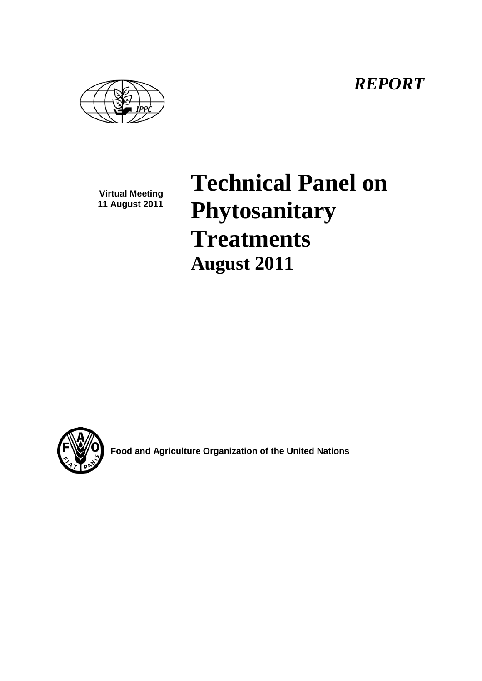*REPORT*

**Virtual Meeting 11 August 2011**

# **Technical Panel on Phytosanitary Treatments August 2011**



**Food and Agriculture Organization of the United Nations**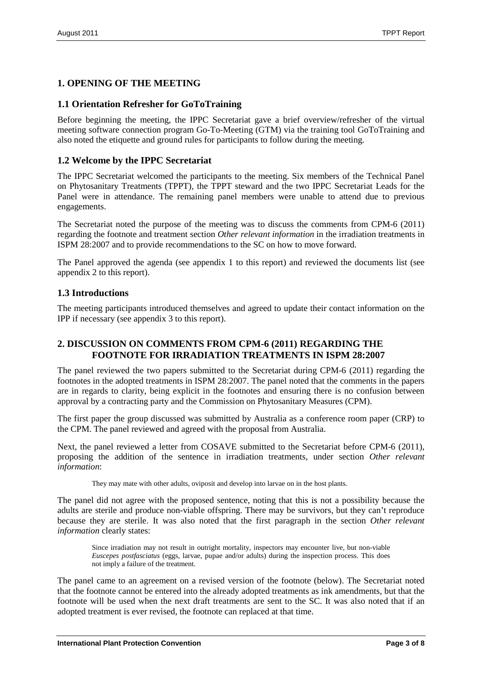## **1. OPENING OF THE MEETING**

### **1.1 Orientation Refresher for GoToTraining**

Before beginning the meeting, the IPPC Secretariat gave a brief overview/refresher of the virtual meeting software connection program Go-To-Meeting (GTM) via the training tool GoToTraining and also noted the etiquette and ground rules for participants to follow during the meeting.

## **1.2 Welcome by the IPPC Secretariat**

The IPPC Secretariat welcomed the participants to the meeting. Six members of the Technical Panel on Phytosanitary Treatments (TPPT), the TPPT steward and the two IPPC Secretariat Leads for the Panel were in attendance. The remaining panel members were unable to attend due to previous engagements.

The Secretariat noted the purpose of the meeting was to discuss the comments from CPM-6 (2011) regarding the footnote and treatment section *Other relevant information* in the irradiation treatments in ISPM 28:2007 and to provide recommendations to the SC on how to move forward.

The Panel approved the agenda (see appendix 1 to this report) and reviewed the documents list (see appendix 2 to this report).

#### **1.3 Introductions**

The meeting participants introduced themselves and agreed to update their contact information on the IPP if necessary (see appendix 3 to this report).

## **2. DISCUSSION ON COMMENTS FROM CPM-6 (2011) REGARDING THE FOOTNOTE FOR IRRADIATION TREATMENTS IN ISPM 28:2007**

The panel reviewed the two papers submitted to the Secretariat during CPM-6 (2011) regarding the footnotes in the adopted treatments in ISPM 28:2007. The panel noted that the comments in the papers are in regards to clarity, being explicit in the footnotes and ensuring there is no confusion between approval by a contracting party and the Commission on Phytosanitary Measures (CPM).

The first paper the group discussed was submitted by Australia as a conference room paper (CRP) to the CPM. The panel reviewed and agreed with the proposal from Australia.

Next, the panel reviewed a letter from COSAVE submitted to the Secretariat before CPM-6 (2011), proposing the addition of the sentence in irradiation treatments, under section *Other relevant information*:

They may mate with other adults, oviposit and develop into larvae on in the host plants.

The panel did not agree with the proposed sentence, noting that this is not a possibility because the adults are sterile and produce non-viable offspring. There may be survivors, but they can't reproduce because they are sterile. It was also noted that the first paragraph in the section *Other relevant information* clearly states:

Since irradiation may not result in outright mortality, inspectors may encounter live, but non-viable *Euscepes postfasciatus* (eggs, larvae, pupae and/or adults) during the inspection process. This does not imply a failure of the treatment.

The panel came to an agreement on a revised version of the footnote (below). The Secretariat noted that the footnote cannot be entered into the already adopted treatments as ink amendments, but that the footnote will be used when the next draft treatments are sent to the SC. It was also noted that if an adopted treatment is ever revised, the footnote can replaced at that time.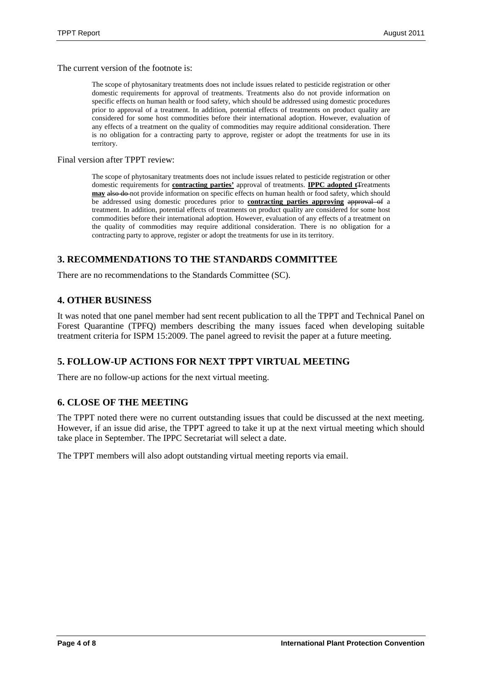The current version of the footnote is:

The scope of phytosanitary treatments does not include issues related to pesticide registration or other domestic requirements for approval of treatments. Treatments also do not provide information on specific effects on human health or food safety, which should be addressed using domestic procedures prior to approval of a treatment. In addition, potential effects of treatments on product quality are considered for some host commodities before their international adoption. However, evaluation of any effects of a treatment on the quality of commodities may require additional consideration. There is no obligation for a contracting party to approve, register or adopt the treatments for use in its territory.

Final version after TPPT review:

The scope of phytosanitary treatments does not include issues related to pesticide registration or other domestic requirements for **contracting parties'** approval of treatments. **IPPC adopted t**Treatments **may** also do not provide information on specific effects on human health or food safety, which should be addressed using domestic procedures prior to **contracting parties approving approval** of a treatment. In addition, potential effects of treatments on product quality are considered for some host commodities before their international adoption. However, evaluation of any effects of a treatment on the quality of commodities may require additional consideration. There is no obligation for a contracting party to approve, register or adopt the treatments for use in its territory.

#### **3. RECOMMENDATIONS TO THE STANDARDS COMMITTEE**

There are no recommendations to the Standards Committee (SC).

#### **4. OTHER BUSINESS**

It was noted that one panel member had sent recent publication to all the TPPT and Technical Panel on Forest Quarantine (TPFQ) members describing the many issues faced when developing suitable treatment criteria for ISPM 15:2009. The panel agreed to revisit the paper at a future meeting.

#### **5. FOLLOW-UP ACTIONS FOR NEXT TPPT VIRTUAL MEETING**

There are no follow-up actions for the next virtual meeting.

#### **6. CLOSE OF THE MEETING**

The TPPT noted there were no current outstanding issues that could be discussed at the next meeting. However, if an issue did arise, the TPPT agreed to take it up at the next virtual meeting which should take place in September. The IPPC Secretariat will select a date.

The TPPT members will also adopt outstanding virtual meeting reports via email.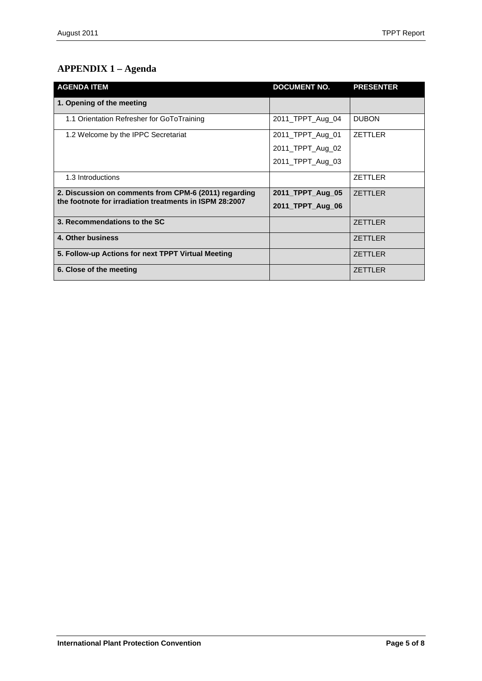# **APPENDIX 1 – Agenda**

| <b>AGENDA ITEM</b>                                                                                               | <b>DOCUMENT NO.</b> | <b>PRESENTER</b> |
|------------------------------------------------------------------------------------------------------------------|---------------------|------------------|
| 1. Opening of the meeting                                                                                        |                     |                  |
| 1.1 Orientation Refresher for GoToTraining                                                                       | 2011_TPPT_Aug_04    | <b>DUBON</b>     |
| 1.2 Welcome by the IPPC Secretariat                                                                              | 2011_TPPT_Aug_01    | <b>ZETTLER</b>   |
|                                                                                                                  | 2011_TPPT_Aug_02    |                  |
|                                                                                                                  | 2011_TPPT_Aug_03    |                  |
| 1.3 Introductions                                                                                                |                     | <b>ZETTLER</b>   |
| 2. Discussion on comments from CPM-6 (2011) regarding<br>the footnote for irradiation treatments in ISPM 28:2007 | 2011 TPPT Aug 05    | <b>ZETTLER</b>   |
|                                                                                                                  | 2011 TPPT Aug 06    |                  |
| 3. Recommendations to the SC                                                                                     |                     | <b>ZETTLER</b>   |
| 4. Other business                                                                                                |                     | <b>ZETTLER</b>   |
| 5. Follow-up Actions for next TPPT Virtual Meeting                                                               |                     | <b>ZETTLER</b>   |
| 6. Close of the meeting                                                                                          |                     | <b>ZETTLER</b>   |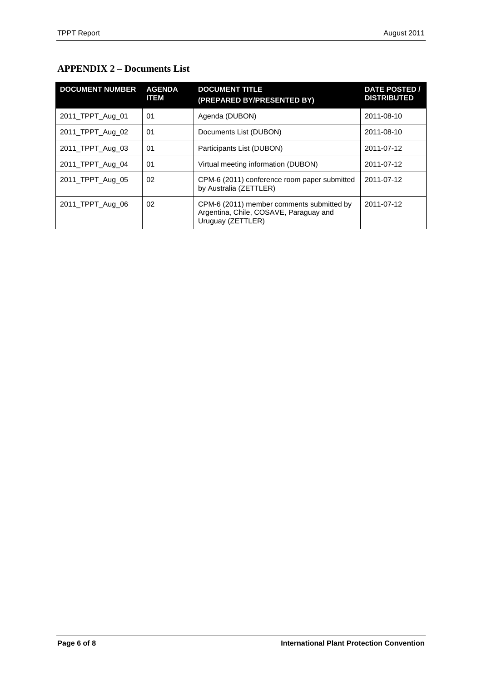# **APPENDIX 2 – Documents List**

| <b>DOCUMENT NUMBER</b> | <b>AGENDA</b><br><b>ITEM</b> | <b>DOCUMENT TITLE</b><br>(PREPARED BY/PRESENTED BY)                                                      | <b>DATE POSTED /</b><br><b>DISTRIBUTED</b> |
|------------------------|------------------------------|----------------------------------------------------------------------------------------------------------|--------------------------------------------|
| 2011_TPPT_Aug_01       | 01                           | Agenda (DUBON)                                                                                           | 2011-08-10                                 |
| 2011_TPPT_Aug_02       | 01                           | Documents List (DUBON)                                                                                   | 2011-08-10                                 |
| 2011_TPPT_Aug_03       | 01                           | Participants List (DUBON)                                                                                | 2011-07-12                                 |
| 2011_TPPT_Aug_04       | 01                           | Virtual meeting information (DUBON)                                                                      | 2011-07-12                                 |
| 2011_TPPT_Aug_05       | 02                           | CPM-6 (2011) conference room paper submitted<br>by Australia (ZETTLER)                                   | 2011-07-12                                 |
| 2011_TPPT_Aug_06       | 02                           | CPM-6 (2011) member comments submitted by<br>Argentina, Chile, COSAVE, Paraguay and<br>Uruguay (ZETTLER) | 2011-07-12                                 |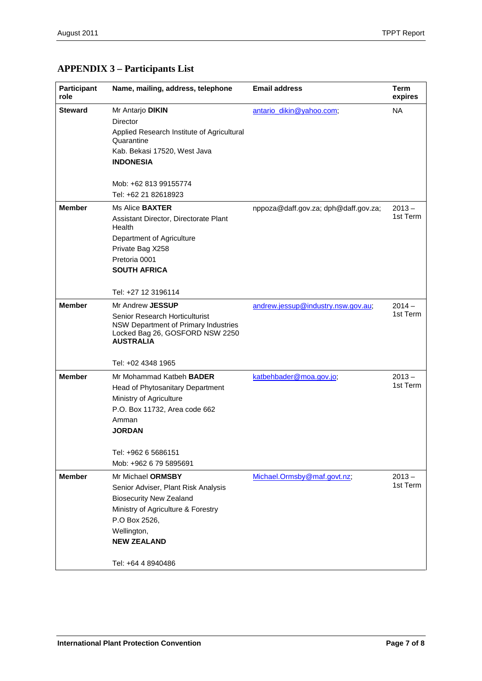# **APPENDIX 3 – Participants List**

| <b>Participant</b><br>role | Name, mailing, address, telephone                                                                                             | <b>Email address</b>                 | <b>Term</b><br>expires |
|----------------------------|-------------------------------------------------------------------------------------------------------------------------------|--------------------------------------|------------------------|
| <b>Steward</b>             | Mr Antarjo DIKIN                                                                                                              | antario dikin@yahoo.com;             | <b>NA</b>              |
|                            | Director                                                                                                                      |                                      |                        |
|                            | Applied Research Institute of Agricultural<br>Quarantine                                                                      |                                      |                        |
|                            | Kab. Bekasi 17520, West Java                                                                                                  |                                      |                        |
|                            | <b>INDONESIA</b>                                                                                                              |                                      |                        |
|                            | Mob: +62 813 99155774                                                                                                         |                                      |                        |
|                            | Tel: +62 21 82618923                                                                                                          |                                      |                        |
| <b>Member</b>              | Ms Alice <b>BAXTER</b>                                                                                                        | nppoza@daff.gov.za; dph@daff.gov.za; | $2013 -$               |
|                            | Assistant Director, Directorate Plant<br>Health                                                                               |                                      | 1st Term               |
|                            | Department of Agriculture                                                                                                     |                                      |                        |
|                            | Private Bag X258                                                                                                              |                                      |                        |
|                            | Pretoria 0001                                                                                                                 |                                      |                        |
|                            | <b>SOUTH AFRICA</b>                                                                                                           |                                      |                        |
|                            | Tel: +27 12 3196114                                                                                                           |                                      |                        |
| <b>Member</b>              | Mr Andrew JESSUP                                                                                                              | andrew.jessup@industry.nsw.gov.au;   | $2014 -$               |
|                            | Senior Research Horticulturist<br>NSW Department of Primary Industries<br>Locked Bag 26, GOSFORD NSW 2250<br><b>AUSTRALIA</b> |                                      | 1st Term               |
|                            | Tel: +02 4348 1965                                                                                                            |                                      |                        |
| <b>Member</b>              | Mr Mohammad Katbeh BADER                                                                                                      | katbehbader@moa.gov.jo;              | $2013 -$               |
|                            | Head of Phytosanitary Department                                                                                              |                                      | 1st Term               |
|                            | Ministry of Agriculture                                                                                                       |                                      |                        |
|                            | P.O. Box 11732, Area code 662                                                                                                 |                                      |                        |
|                            | Amman                                                                                                                         |                                      |                        |
|                            | <b>JORDAN</b>                                                                                                                 |                                      |                        |
|                            |                                                                                                                               |                                      |                        |
|                            | Tel: +962 6 5686151<br>Mob: +962 6 79 5895691                                                                                 |                                      |                        |
|                            | Mr Michael ORMSBY                                                                                                             |                                      |                        |
| <b>Member</b>              |                                                                                                                               | Michael.Ormsby@maf.govt.nz;          | $2013 -$<br>1st Term   |
|                            | Senior Adviser, Plant Risk Analysis                                                                                           |                                      |                        |
|                            | <b>Biosecurity New Zealand</b><br>Ministry of Agriculture & Forestry                                                          |                                      |                        |
|                            | P.O Box 2526,                                                                                                                 |                                      |                        |
|                            | Wellington,                                                                                                                   |                                      |                        |
|                            | <b>NEW ZEALAND</b>                                                                                                            |                                      |                        |
|                            |                                                                                                                               |                                      |                        |
|                            | Tel: +64 4 8940486                                                                                                            |                                      |                        |